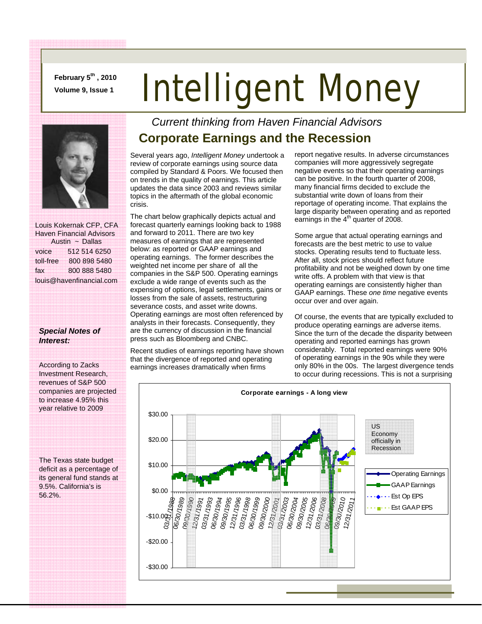**February 5th , 2010** 

## **February 5<sup>-4</sup>, 2010 Intelligent Money**



 Louis Kokernak CFP, CFA Haven Financial Advisors Austin ~ Dallas voice 512 514 6250 toll-free 800 898 5480 fax 800 888 5480 louis@havenfinancial.com

#### *Special Notes of Interest:*

According to Zacks Investment Research, revenues of S&P 500 companies are projected to increase 4.95% this year relative to 2009

The Texas state budget deficit as a percentage of its general fund stands at 9.5%. California's is 56.2%.

#### *Current thinking from Haven Financial Advisors*  **Corporate Earnings and the Recession**

Several years ago, *Intelligent Money* undertook a review of corporate earnings using source data compiled by Standard & Poors. We focused then on trends in the quality of earnings. This article updates the data since 2003 and reviews similar topics in the aftermath of the global economic crisis.

The chart below graphically depicts actual and forecast quarterly earnings looking back to 1988 and forward to 2011. There are two key measures of earnings that are represented below: as reported or GAAP earnings and operating earnings. The former describes the weighted net income per share of all the companies in the S&P 500. Operating earnings exclude a wide range of events such as the expensing of options, legal settlements, gains or losses from the sale of assets, restructuring severance costs, and asset write downs. Operating earnings are most often referenced by analysts in their forecasts. Consequently, they are the currency of discussion in the financial press such as Bloomberg and CNBC.

Recent studies of earnings reporting have shown that the divergence of reported and operating earnings increases dramatically when firms

report negative results. In adverse circumstances companies will more aggressively segregate negative events so that their operating earnings can be positive. In the fourth quarter of 2008, many financial firms decided to exclude the substantial write down of loans from their reportage of operating income. That explains the large disparity between operating and as reported earnings in the  $4<sup>th</sup>$  quarter of 2008.

Some argue that actual operating earnings and forecasts are the best metric to use to value stocks. Operating results tend to fluctuate less. After all, stock prices should reflect future profitability and not be weighed down by one time write offs. A problem with that view is that operating earnings are consistently higher than GAAP earnings. These *one time* negative events occur over and over again.

Of course, the events that are typically excluded to produce operating earnings are adverse items. Since the turn of the decade the disparity between operating and reported earnings has grown considerably. Total reported earnings were 90% of operating earnings in the 90s while they were only 80% in the 00s. The largest divergence tends to occur during recessions. This is not a surprising